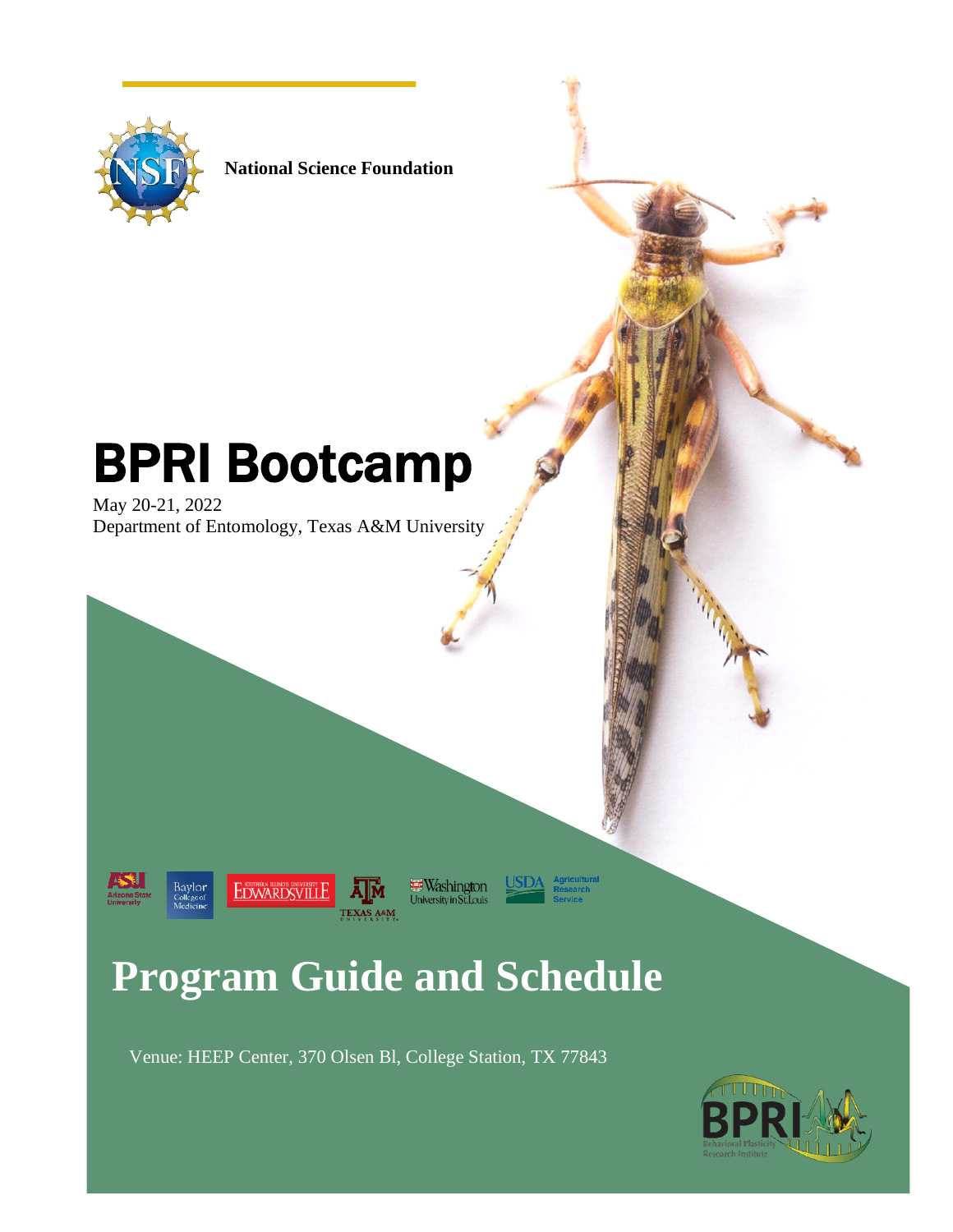

**National Science Foundation** 

# BPRI Bootcamp

May 20-21, 2022 Department of Entomology, Texas A&M University





Washington<br>University in St. Louis TEXAS A&M

**USD/** 

## **Program Guide and Schedule**

Venue: HEEP Center, 370 Olsen Bl, College Station, TX 77843

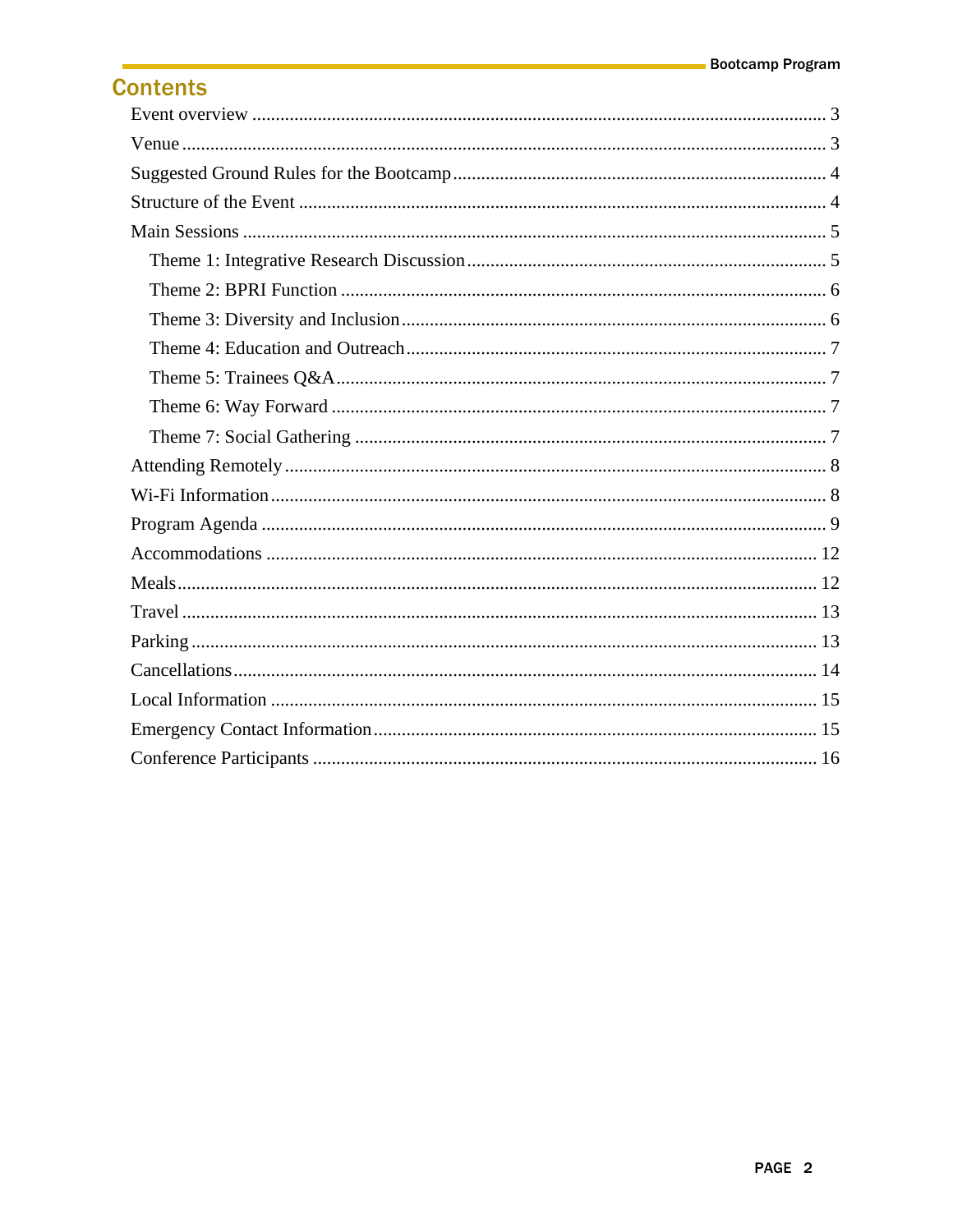## **Contents**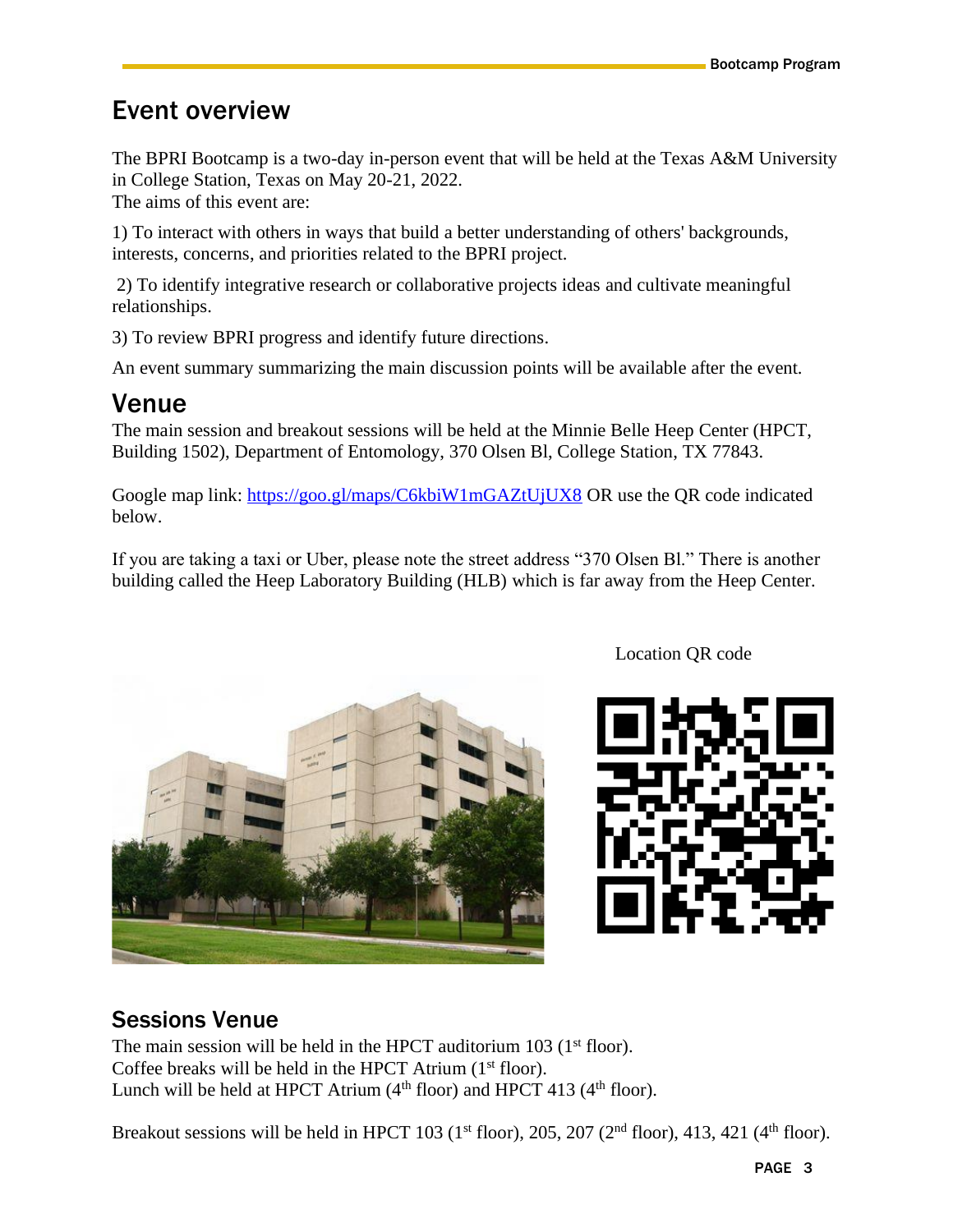## <span id="page-2-0"></span>Event overview

The BPRI Bootcamp is a two-day in-person event that will be held at the Texas A&M University in College Station, Texas on May 20-21, 2022.

The aims of this event are:

1) To interact with others in ways that build a better understanding of others' backgrounds, interests, concerns, and priorities related to the BPRI project.

2) To identify integrative research or collaborative projects ideas and cultivate meaningful relationships.

3) To review BPRI progress and identify future directions.

An event summary summarizing the main discussion points will be available after the event.

## <span id="page-2-1"></span>Venue

The main session and breakout sessions will be held at the Minnie Belle Heep Center (HPCT, Building 1502), Department of Entomology, 370 Olsen Bl, College Station, TX 77843.

Google map link:<https://goo.gl/maps/C6kbiW1mGAZtUjUX8> OR use the QR code indicated below.

If you are taking a taxi or Uber, please note the street address "370 Olsen Bl." There is another building called the Heep Laboratory Building (HLB) which is far away from the Heep Center.



Location QR code



## Sessions Venue

The main session will be held in the HPCT auditorium  $103$  ( $1<sup>st</sup>$  floor). Coffee breaks will be held in the HPCT Atrium  $(1<sup>st</sup>$  floor). Lunch will be held at HPCT Atrium  $(4<sup>th</sup>$  floor) and HPCT 413  $(4<sup>th</sup>$  floor).

Breakout sessions will be held in HPCT 103 ( $1<sup>st</sup>$  floor), 205, 207 ( $2<sup>nd</sup>$  floor), 413, 421 ( $4<sup>th</sup>$  floor).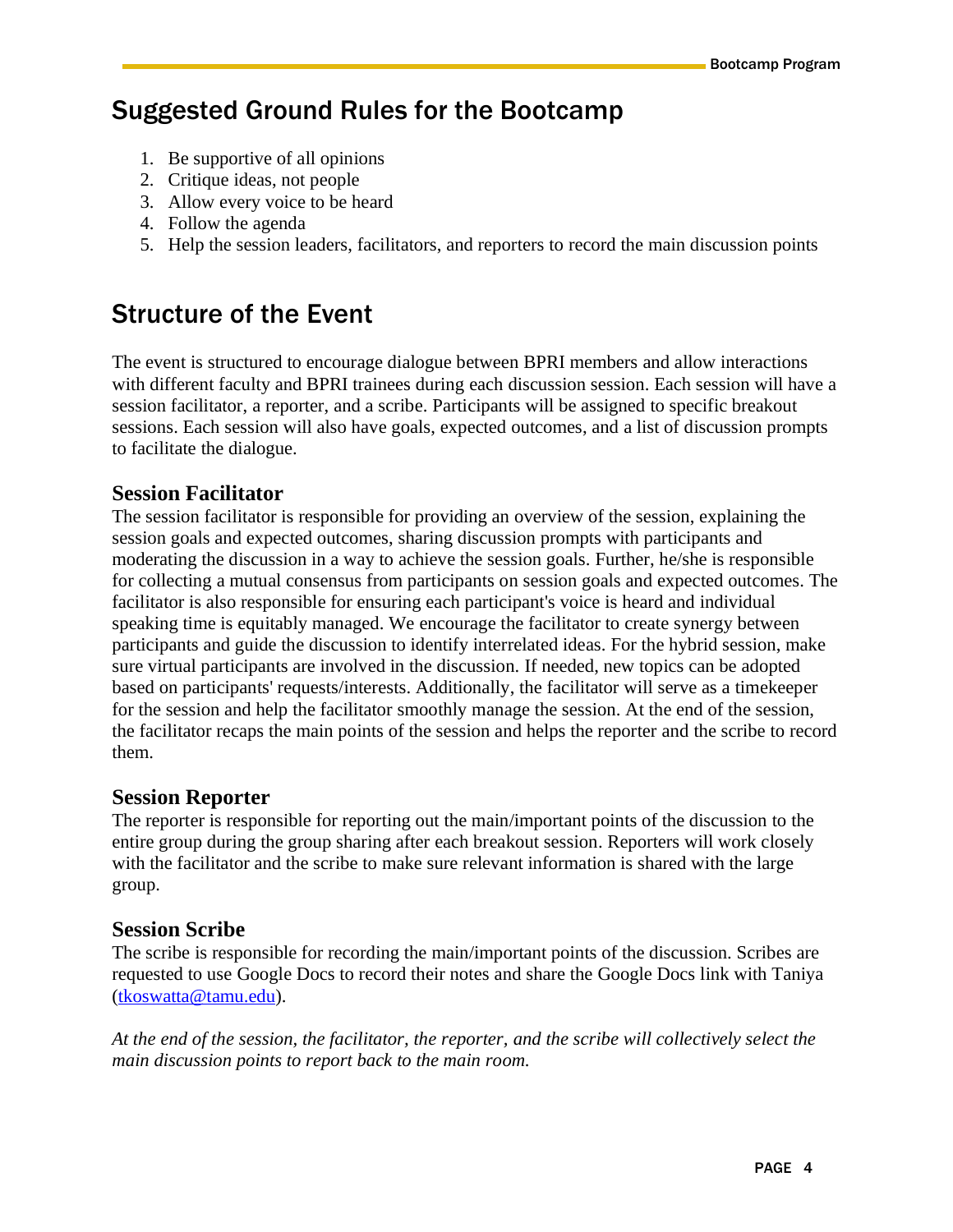## <span id="page-3-0"></span>Suggested Ground Rules for the Bootcamp

- 1. Be supportive of all opinions
- 2. Critique ideas, not people
- 3. Allow every voice to be heard
- 4. Follow the agenda
- 5. Help the session leaders, facilitators, and reporters to record the main discussion points

## <span id="page-3-1"></span>Structure of the Event

The event is structured to encourage dialogue between BPRI members and allow interactions with different faculty and BPRI trainees during each discussion session. Each session will have a session facilitator, a reporter, and a scribe. Participants will be assigned to specific breakout sessions. Each session will also have goals, expected outcomes, and a list of discussion prompts to facilitate the dialogue.

#### **Session Facilitator**

The session facilitator is responsible for providing an overview of the session, explaining the session goals and expected outcomes, sharing discussion prompts with participants and moderating the discussion in a way to achieve the session goals. Further, he/she is responsible for collecting a mutual consensus from participants on session goals and expected outcomes. The facilitator is also responsible for ensuring each participant's voice is heard and individual speaking time is equitably managed. We encourage the facilitator to create synergy between participants and guide the discussion to identify interrelated ideas. For the hybrid session, make sure virtual participants are involved in the discussion. If needed, new topics can be adopted based on participants' requests/interests. Additionally, the facilitator will serve as a timekeeper for the session and help the facilitator smoothly manage the session. At the end of the session, the facilitator recaps the main points of the session and helps the reporter and the scribe to record them.

#### **Session Reporter**

The reporter is responsible for reporting out the main/important points of the discussion to the entire group during the group sharing after each breakout session. Reporters will work closely with the facilitator and the scribe to make sure relevant information is shared with the large group.

#### **Session Scribe**

The scribe is responsible for recording the main/important points of the discussion. Scribes are requested to use Google Docs to record their notes and share the Google Docs link with Taniya [\(tkoswatta@tamu.edu\)](mailto:tkoswatta@tamu.edu).

*At the end of the session, the facilitator, the reporter, and the scribe will collectively select the main discussion points to report back to the main room.*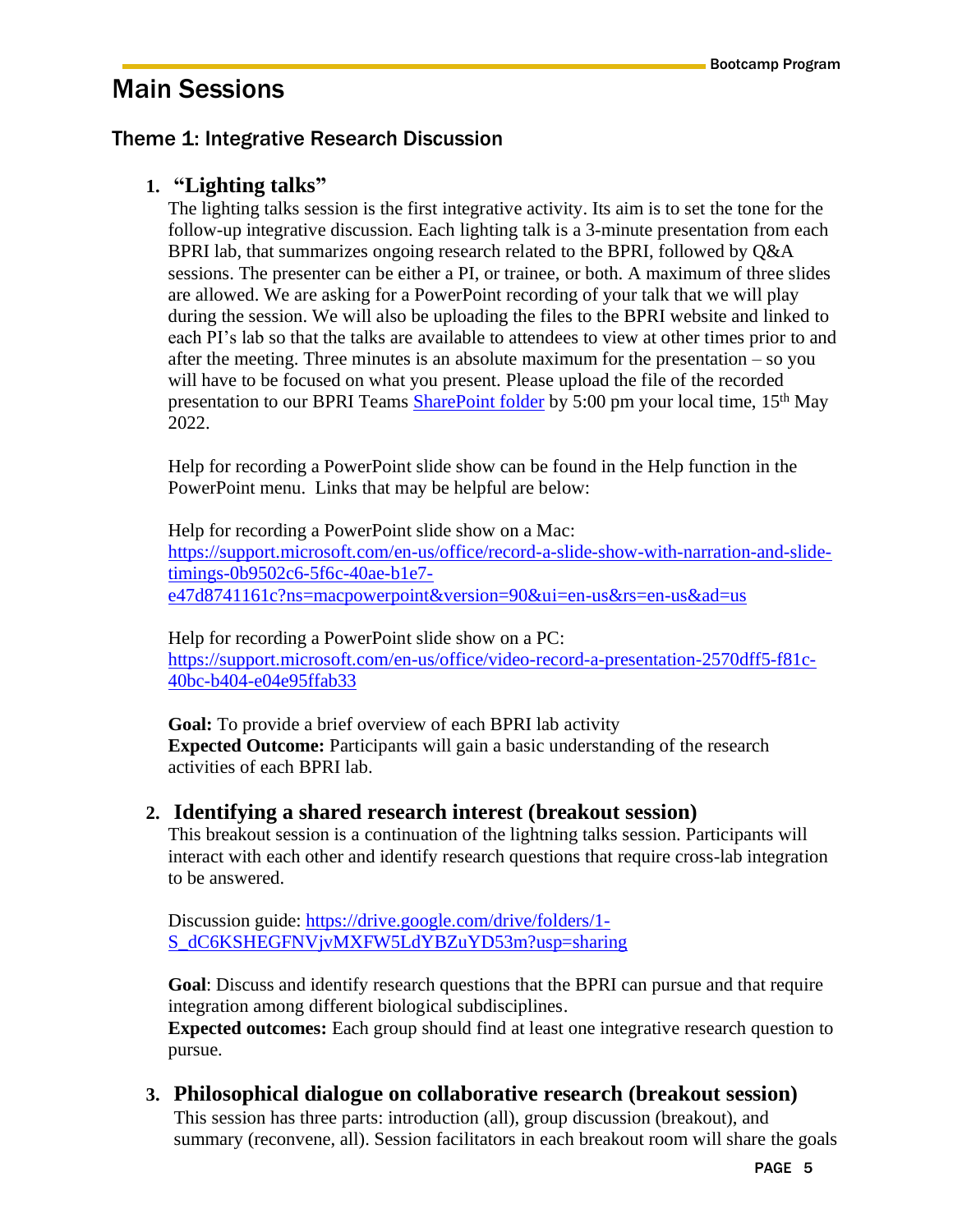## <span id="page-4-0"></span>Main Sessions

#### <span id="page-4-1"></span>Theme 1: Integrative Research Discussion

#### **1. "Lighting talks"**

The lighting talks session is the first integrative activity. Its aim is to set the tone for the follow-up integrative discussion. Each lighting talk is a 3-minute presentation from each BPRI lab, that summarizes ongoing research related to the BPRI, followed by Q&A sessions. The presenter can be either a PI, or trainee, or both. A maximum of three slides are allowed. We are asking for a PowerPoint recording of your talk that we will play during the session. We will also be uploading the files to the BPRI website and linked to each PI's lab so that the talks are available to attendees to view at other times prior to and after the meeting. Three minutes is an absolute maximum for the presentation – so you will have to be focused on what you present. Please upload the file of the recorded presentation to our BPRI Teams [SharePoint](https://bcmedu.sharepoint.com/:f:/r/sites/BPRIScience/Shared%20Documents/Meetings/BPRI%20Bootcamp%20Lightning%20Talks?csf=1&web=1&e=kh1Iwt) folder by 5:00 pm your local time, 15<sup>th</sup> May 2022.

Help for recording a PowerPoint slide show can be found in the Help function in the PowerPoint menu. Links that may be helpful are below:

Help for recording a PowerPoint slide show on a Mac: [https://support.microsoft.com/en-us/office/record-a-slide-show-with-narration-and-slide](https://support.microsoft.com/en-us/office/record-a-slide-show-with-narration-and-slide-timings-0b9502c6-5f6c-40ae-b1e7-e47d8741161c?ns=macpowerpoint&version=90&ui=en-us&rs=en-us&ad=us)[timings-0b9502c6-5f6c-40ae-b1e7](https://support.microsoft.com/en-us/office/record-a-slide-show-with-narration-and-slide-timings-0b9502c6-5f6c-40ae-b1e7-e47d8741161c?ns=macpowerpoint&version=90&ui=en-us&rs=en-us&ad=us) [e47d8741161c?ns=macpowerpoint&version=90&ui=en-us&rs=en-us&ad=us](https://support.microsoft.com/en-us/office/record-a-slide-show-with-narration-and-slide-timings-0b9502c6-5f6c-40ae-b1e7-e47d8741161c?ns=macpowerpoint&version=90&ui=en-us&rs=en-us&ad=us)

Help for recording a PowerPoint slide show on a PC: [https://support.microsoft.com/en-us/office/video-record-a-presentation-2570dff5-f81c-](https://support.microsoft.com/en-us/office/video-record-a-presentation-2570dff5-f81c-40bc-b404-e04e95ffab33)[40bc-b404-e04e95ffab33](https://support.microsoft.com/en-us/office/video-record-a-presentation-2570dff5-f81c-40bc-b404-e04e95ffab33)

**Goal:** To provide a brief overview of each BPRI lab activity **Expected Outcome:** Participants will gain a basic understanding of the research activities of each BPRI lab.

#### **2. Identifying a shared research interest (breakout session)**

This breakout session is a continuation of the lightning talks session. Participants will interact with each other and identify research questions that require cross-lab integration to be answered.

Discussion guide: [https://drive.google.com/drive/folders/1-](https://drive.google.com/drive/folders/1-S_dC6KSHEGFNVjvMXFW5LdYBZuYD53m?usp=sharing) [S\\_dC6KSHEGFNVjvMXFW5LdYBZuYD53m?usp=sharing](https://drive.google.com/drive/folders/1-S_dC6KSHEGFNVjvMXFW5LdYBZuYD53m?usp=sharing)

**Goal**: Discuss and identify research questions that the BPRI can pursue and that require integration among different biological subdisciplines.

**Expected outcomes:** Each group should find at least one integrative research question to pursue.

#### **3. Philosophical dialogue on collaborative research (breakout session)**

This session has three parts: introduction (all), group discussion (breakout), and summary (reconvene, all). Session facilitators in each breakout room will share the goals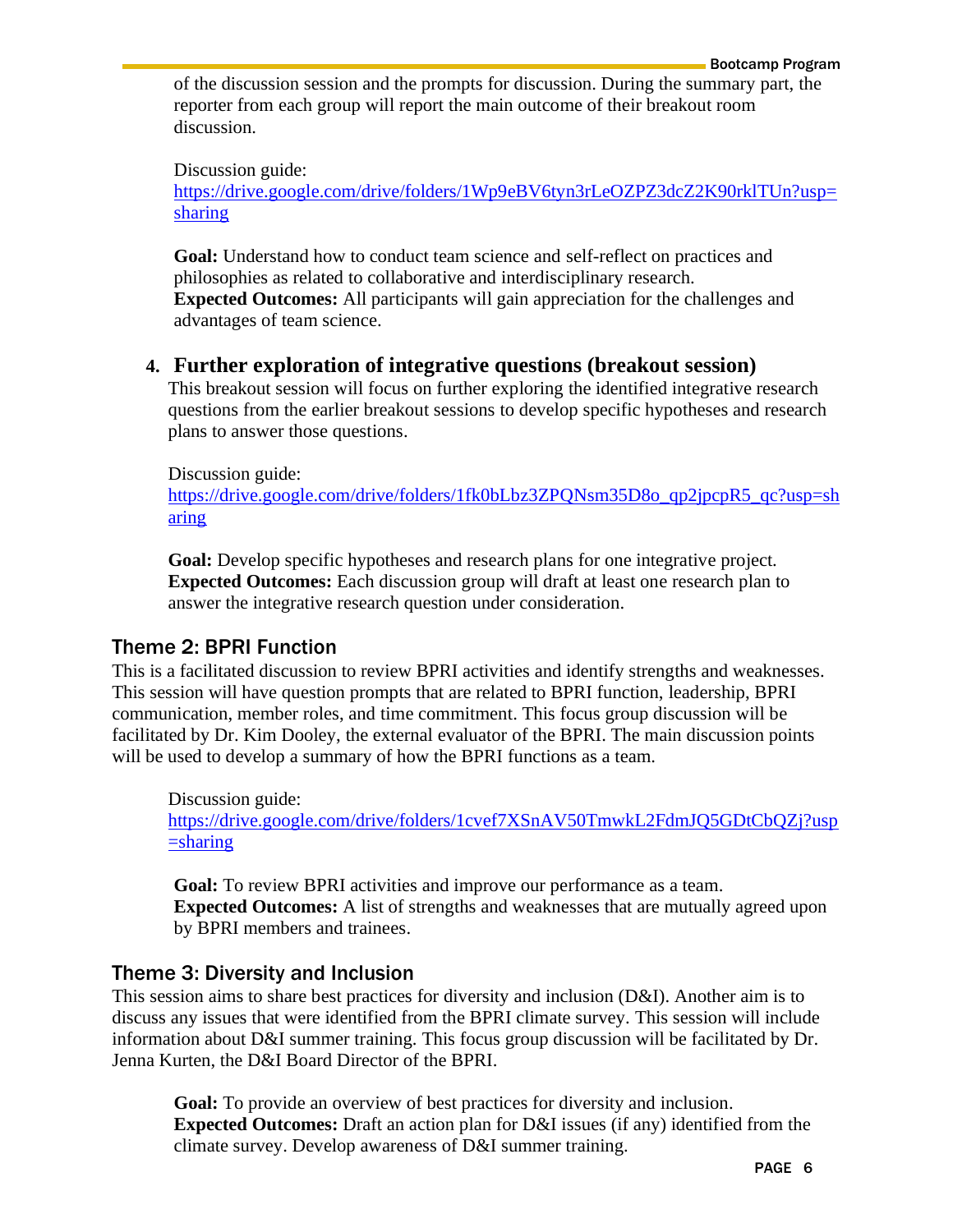of the discussion session and the prompts for discussion. During the summary part, the reporter from each group will report the main outcome of their breakout room discussion.

Discussion guide:

[https://drive.google.com/drive/folders/1Wp9eBV6tyn3rLeOZPZ3dcZ2K90rklTUn?usp=](https://drive.google.com/drive/folders/1Wp9eBV6tyn3rLeOZPZ3dcZ2K90rklTUn?usp=sharing) [sharing](https://drive.google.com/drive/folders/1Wp9eBV6tyn3rLeOZPZ3dcZ2K90rklTUn?usp=sharing)

**Goal:** Understand how to conduct team science and self-reflect on practices and philosophies as related to collaborative and interdisciplinary research. **Expected Outcomes:** All participants will gain appreciation for the challenges and advantages of team science.

#### **4. Further exploration of integrative questions (breakout session)**

This breakout session will focus on further exploring the identified integrative research questions from the earlier breakout sessions to develop specific hypotheses and research plans to answer those questions.

Discussion guide:

[https://drive.google.com/drive/folders/1fk0bLbz3ZPQNsm35D8o\\_qp2jpcpR5\\_qc?usp=sh](https://drive.google.com/drive/folders/1fk0bLbz3ZPQNsm35D8o_qp2jpcpR5_qc?usp=sharing) [aring](https://drive.google.com/drive/folders/1fk0bLbz3ZPQNsm35D8o_qp2jpcpR5_qc?usp=sharing)

**Goal:** Develop specific hypotheses and research plans for one integrative project. **Expected Outcomes:** Each discussion group will draft at least one research plan to answer the integrative research question under consideration.

#### <span id="page-5-0"></span>Theme 2: BPRI Function

This is a facilitated discussion to review BPRI activities and identify strengths and weaknesses. This session will have question prompts that are related to BPRI function, leadership, BPRI communication, member roles, and time commitment. This focus group discussion will be facilitated by Dr. Kim Dooley, the external evaluator of the BPRI. The main discussion points will be used to develop a summary of how the BPRI functions as a team.

Discussion guide: [https://drive.google.com/drive/folders/1cvef7XSnAV50TmwkL2FdmJQ5GDtCbQZj?usp](https://drive.google.com/drive/folders/1cvef7XSnAV50TmwkL2FdmJQ5GDtCbQZj?usp=sharing)  $=$ sharing

**Goal:** To review BPRI activities and improve our performance as a team. **Expected Outcomes:** A list of strengths and weaknesses that are mutually agreed upon by BPRI members and trainees.

#### <span id="page-5-1"></span>Theme 3: Diversity and Inclusion

This session aims to share best practices for diversity and inclusion (D&I). Another aim is to discuss any issues that were identified from the BPRI climate survey. This session will include information about D&I summer training. This focus group discussion will be facilitated by Dr. Jenna Kurten, the D&I Board Director of the BPRI.

**Goal:** To provide an overview of best practices for diversity and inclusion. **Expected Outcomes:** Draft an action plan for D&I issues (if any) identified from the climate survey. Develop awareness of D&I summer training.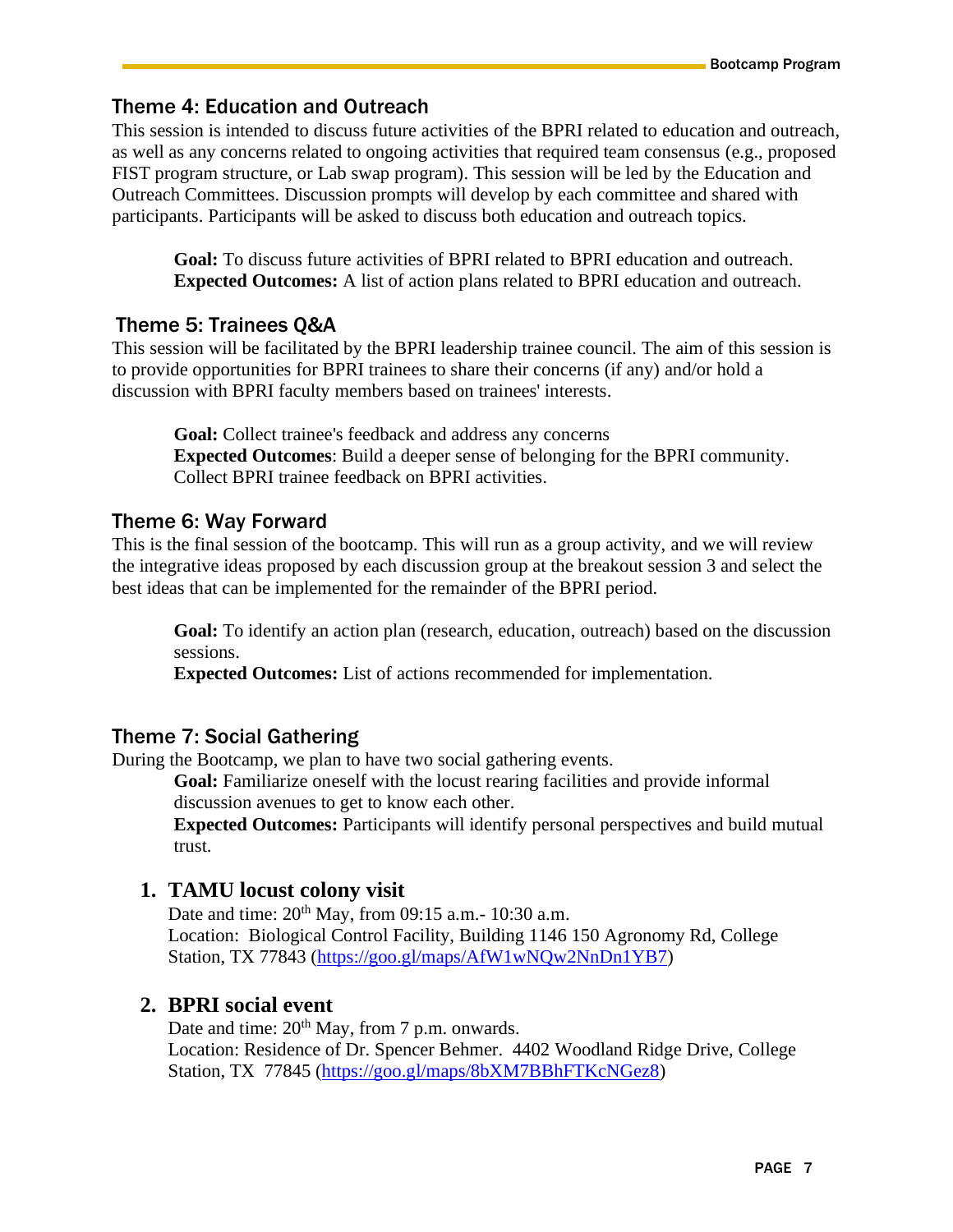#### <span id="page-6-0"></span>Theme 4: Education and Outreach

This session is intended to discuss future activities of the BPRI related to education and outreach, as well as any concerns related to ongoing activities that required team consensus (e.g., proposed FIST program structure, or Lab swap program). This session will be led by the Education and Outreach Committees. Discussion prompts will develop by each committee and shared with participants. Participants will be asked to discuss both education and outreach topics.

**Goal:** To discuss future activities of BPRI related to BPRI education and outreach. **Expected Outcomes:** A list of action plans related to BPRI education and outreach.

#### <span id="page-6-1"></span>Theme 5: Trainees Q&A

This session will be facilitated by the BPRI leadership trainee council. The aim of this session is to provide opportunities for BPRI trainees to share their concerns (if any) and/or hold a discussion with BPRI faculty members based on trainees' interests.

**Goal:** Collect trainee's feedback and address any concerns **Expected Outcomes**: Build a deeper sense of belonging for the BPRI community. Collect BPRI trainee feedback on BPRI activities.

#### <span id="page-6-2"></span>Theme 6: Way Forward

This is the final session of the bootcamp. This will run as a group activity, and we will review the integrative ideas proposed by each discussion group at the breakout session 3 and select the best ideas that can be implemented for the remainder of the BPRI period.

**Goal:** To identify an action plan (research, education, outreach) based on the discussion sessions.

**Expected Outcomes:** List of actions recommended for implementation.

#### <span id="page-6-3"></span>Theme 7: Social Gathering

During the Bootcamp, we plan to have two social gathering events.

Goal: Familiarize oneself with the locust rearing facilities and provide informal discussion avenues to get to know each other.

**Expected Outcomes:** Participants will identify personal perspectives and build mutual trust.

#### **1. TAMU locust colony visit**

Date and time:  $20^{th}$  May, from 09:15 a.m. - 10:30 a.m. Location: Biological Control Facility, Building 1146 150 Agronomy Rd, College Station, TX 77843 [\(https://goo.gl/maps/AfW1wNQw2NnDn1YB7\)](https://goo.gl/maps/AfW1wNQw2NnDn1YB7)

#### **2. BPRI social event**

Date and time:  $20<sup>th</sup>$  May, from 7 p.m. onwards. Location: Residence of Dr. Spencer Behmer. 4402 Woodland Ridge Drive, College Station, TX 77845 [\(https://goo.gl/maps/8bXM7BBhFTKcNGez8\)](https://goo.gl/maps/8bXM7BBhFTKcNGez8)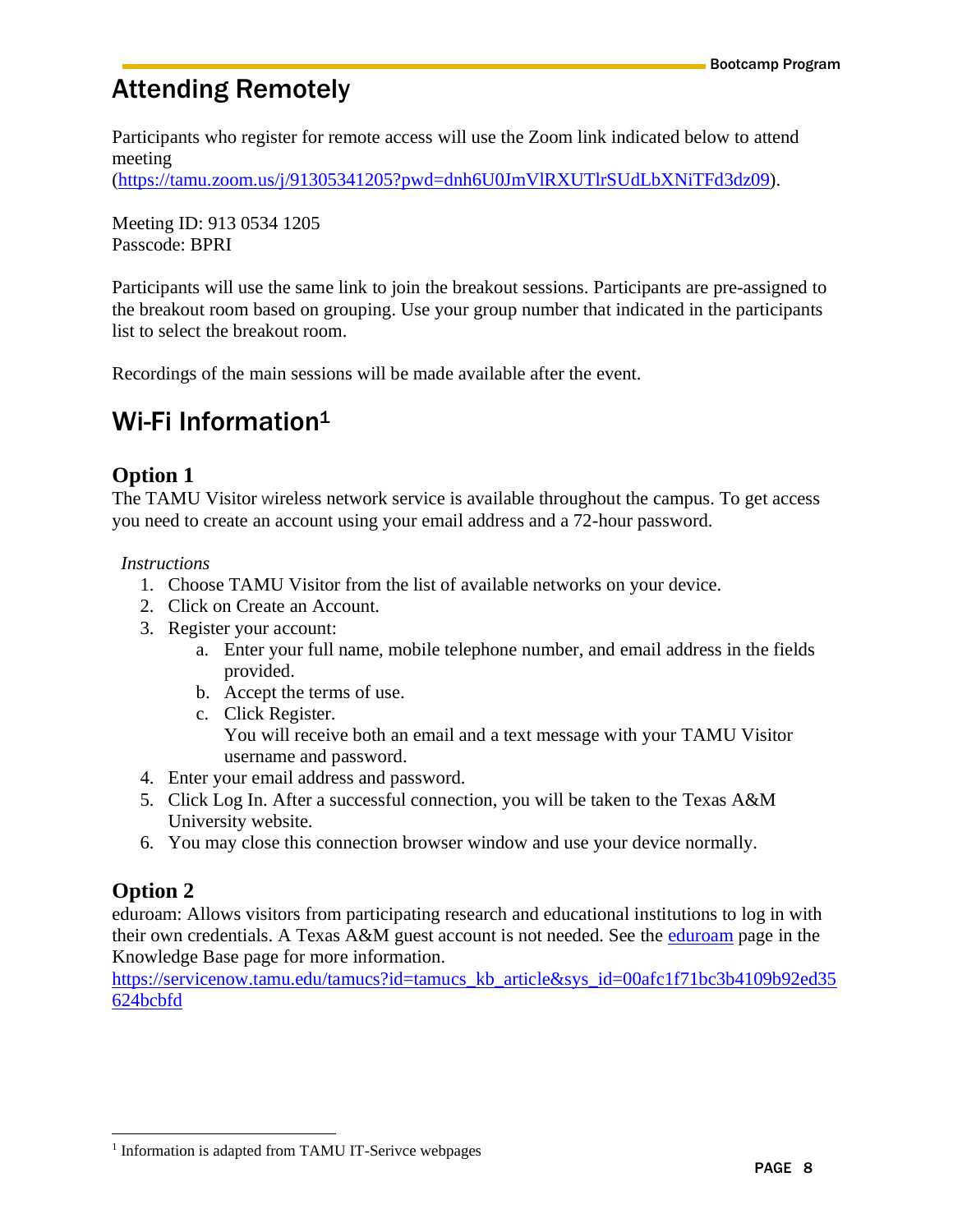## <span id="page-7-0"></span>Attending Remotely

Participants who register for remote access will use the Zoom link indicated below to attend meeting

[\(https://tamu.zoom.us/j/91305341205?pwd=dnh6U0JmVlRXUTlrSUdLbXNiTFd3dz09\)](https://tamu.zoom.us/j/91305341205?pwd=dnh6U0JmVlRXUTlrSUdLbXNiTFd3dz09).

Meeting ID: 913 0534 1205 Passcode: BPRI

Participants will use the same link to join the breakout sessions. Participants are pre-assigned to the breakout room based on grouping. Use your group number that indicated in the participants list to select the breakout room.

Recordings of the main sessions will be made available after the event.

## <span id="page-7-1"></span>Wi-Fi Information<sup>1</sup>

#### **Option 1**

The TAMU Visitor wireless network service is available throughout the campus. To get access you need to create an account using your email address and a 72-hour password.

#### *Instructions*

- 1. Choose TAMU Visitor from the list of available networks on your device.
- 2. Click on Create an Account.
- 3. Register your account:
	- a. Enter your full name, mobile telephone number, and email address in the fields provided.
	- b. Accept the terms of use.
	- c. Click Register. You will receive both an email and a text message with your TAMU Visitor username and password.
- 4. Enter your email address and password.
- 5. Click Log In. After a successful connection, you will be taken to the Texas A&M University website.
- 6. You may close this connection browser window and use your device normally.

#### **Option 2**

eduroam: Allows visitors from participating research and educational institutions to log in with their own credentials. A Texas A&M guest account is not needed. See the [eduroam](https://servicenow.tamu.edu/kburl.do?article=KB0010436) page in the Knowledge Base page for more information.

[https://servicenow.tamu.edu/tamucs?id=tamucs\\_kb\\_article&sys\\_id=00afc1f71bc3b4109b92ed35](https://servicenow.tamu.edu/tamucs?id=tamucs_kb_article&sys_id=00afc1f71bc3b4109b92ed35624bcbfd) [624bcbfd](https://servicenow.tamu.edu/tamucs?id=tamucs_kb_article&sys_id=00afc1f71bc3b4109b92ed35624bcbfd)

<sup>&</sup>lt;sup>1</sup> Information is adapted from TAMU IT-Serivce webpages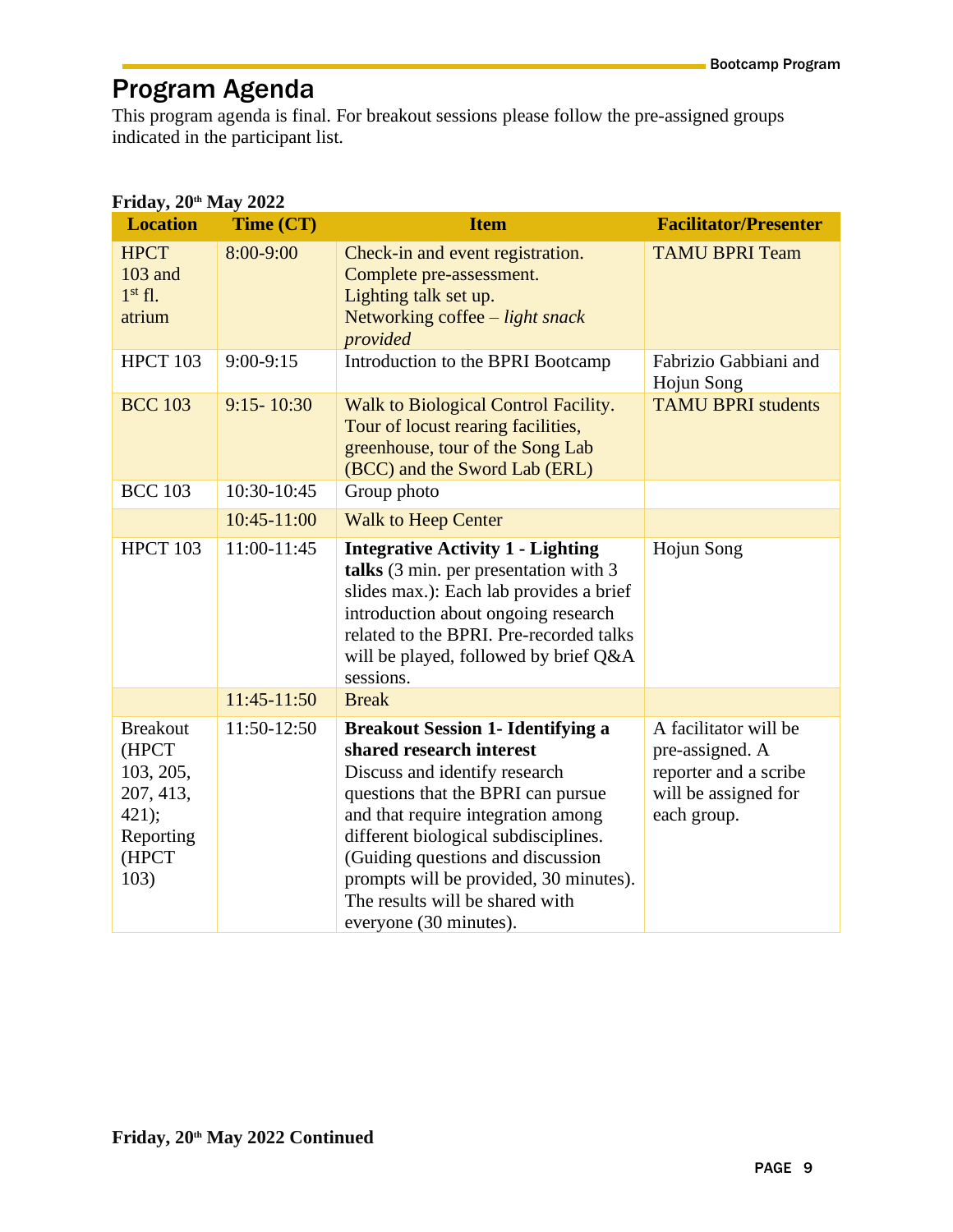## <span id="page-8-0"></span>Program Agenda

This program agenda is final. For breakout sessions please follow the pre-assigned groups indicated in the participant list.

| rtiuaj, 20 Triaj 2022<br>Time (CT)<br><b>Location</b>                                     |                | <b>Item</b>                                                                                                                                                                                                                                                                                                                                                           | <b>Facilitator/Presenter</b>                                                                             |  |  |
|-------------------------------------------------------------------------------------------|----------------|-----------------------------------------------------------------------------------------------------------------------------------------------------------------------------------------------------------------------------------------------------------------------------------------------------------------------------------------------------------------------|----------------------------------------------------------------------------------------------------------|--|--|
| <b>HPCT</b><br>103 and<br>$1st$ fl.<br>atrium                                             | 8:00-9:00      | Check-in and event registration.<br>Complete pre-assessment.<br>Lighting talk set up.<br>Networking coffee $-$ light snack<br>provided                                                                                                                                                                                                                                | <b>TAMU BPRI Team</b>                                                                                    |  |  |
| <b>HPCT 103</b>                                                                           | $9:00-9:15$    | Introduction to the BPRI Bootcamp                                                                                                                                                                                                                                                                                                                                     | Fabrizio Gabbiani and<br>Hojun Song                                                                      |  |  |
| <b>BCC 103</b>                                                                            | $9:15 - 10:30$ | Walk to Biological Control Facility.<br>Tour of locust rearing facilities,<br>greenhouse, tour of the Song Lab<br>(BCC) and the Sword Lab (ERL)                                                                                                                                                                                                                       | <b>TAMU BPRI students</b>                                                                                |  |  |
| <b>BCC 103</b>                                                                            | 10:30-10:45    | Group photo                                                                                                                                                                                                                                                                                                                                                           |                                                                                                          |  |  |
|                                                                                           | 10:45-11:00    | <b>Walk to Heep Center</b>                                                                                                                                                                                                                                                                                                                                            |                                                                                                          |  |  |
| <b>HPCT 103</b>                                                                           | 11:00-11:45    | <b>Integrative Activity 1 - Lighting</b><br>talks (3 min. per presentation with 3<br>slides max.): Each lab provides a brief<br>introduction about ongoing research<br>related to the BPRI. Pre-recorded talks<br>will be played, followed by brief Q&A<br>sessions.                                                                                                  | Hojun Song                                                                                               |  |  |
|                                                                                           | 11:45-11:50    | <b>Break</b>                                                                                                                                                                                                                                                                                                                                                          |                                                                                                          |  |  |
| <b>Breakout</b><br>(HPCT<br>103, 205,<br>207, 413,<br>421);<br>Reporting<br>(HPCT<br>103) | 11:50-12:50    | <b>Breakout Session 1- Identifying a</b><br>shared research interest<br>Discuss and identify research<br>questions that the BPRI can pursue<br>and that require integration among<br>different biological subdisciplines.<br>(Guiding questions and discussion<br>prompts will be provided, 30 minutes).<br>The results will be shared with<br>everyone (30 minutes). | A facilitator will be<br>pre-assigned. A<br>reporter and a scribe<br>will be assigned for<br>each group. |  |  |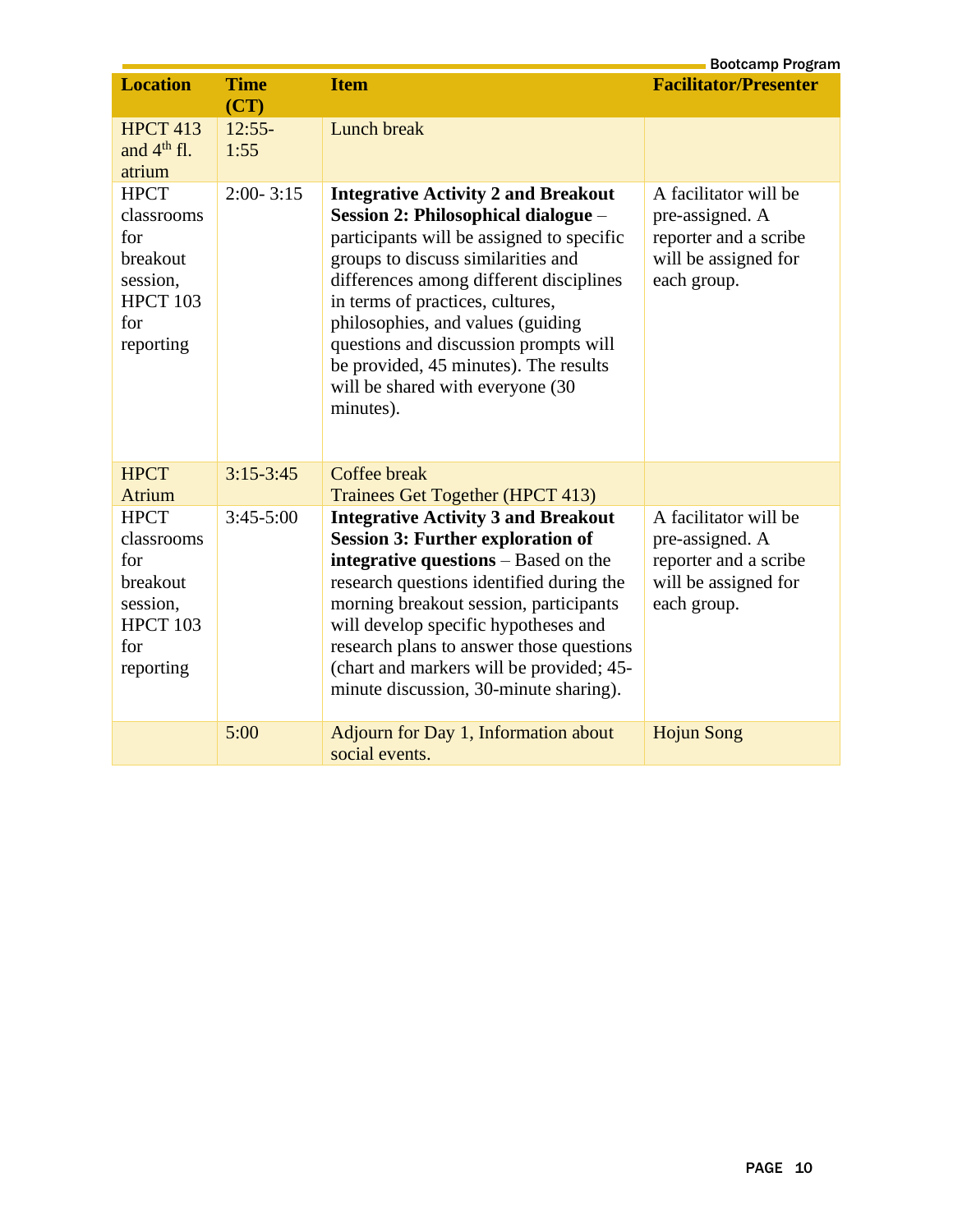|                                                                                                                                               |                                           |                                                                                                                                                                                                                                                                                                                                                                                                                                                   | <b>Bootcamp Program</b>                                                                                  |
|-----------------------------------------------------------------------------------------------------------------------------------------------|-------------------------------------------|---------------------------------------------------------------------------------------------------------------------------------------------------------------------------------------------------------------------------------------------------------------------------------------------------------------------------------------------------------------------------------------------------------------------------------------------------|----------------------------------------------------------------------------------------------------------|
| <b>Location</b>                                                                                                                               | <b>Time</b>                               | <b>Item</b>                                                                                                                                                                                                                                                                                                                                                                                                                                       | <b>Facilitator/Presenter</b>                                                                             |
| <b>HPCT 413</b><br>and $4th$ fl.<br>atrium<br><b>HPCT</b><br>classrooms<br>for<br>breakout<br>session,<br><b>HPCT 103</b><br>for<br>reporting | (CT)<br>$12:55-$<br>1:55<br>$2:00 - 3:15$ | <b>Lunch break</b><br><b>Integrative Activity 2 and Breakout</b><br>Session 2: Philosophical dialogue -<br>participants will be assigned to specific<br>groups to discuss similarities and<br>differences among different disciplines<br>in terms of practices, cultures,<br>philosophies, and values (guiding<br>questions and discussion prompts will<br>be provided, 45 minutes). The results<br>will be shared with everyone (30<br>minutes). | A facilitator will be<br>pre-assigned. A<br>reporter and a scribe<br>will be assigned for<br>each group. |
| <b>HPCT</b>                                                                                                                                   | $3:15 - 3:45$                             | <b>Coffee break</b>                                                                                                                                                                                                                                                                                                                                                                                                                               |                                                                                                          |
| Atrium                                                                                                                                        |                                           | Trainees Get Together (HPCT 413)                                                                                                                                                                                                                                                                                                                                                                                                                  |                                                                                                          |
| <b>HPCT</b><br>classrooms<br>for<br>breakout<br>session,<br><b>HPCT 103</b><br>for<br>reporting                                               | $3:45-5:00$                               | <b>Integrative Activity 3 and Breakout</b><br><b>Session 3: Further exploration of</b><br>integrative questions – Based on the<br>research questions identified during the<br>morning breakout session, participants<br>will develop specific hypotheses and<br>research plans to answer those questions<br>(chart and markers will be provided; 45-<br>minute discussion, 30-minute sharing).                                                    | A facilitator will be<br>pre-assigned. A<br>reporter and a scribe<br>will be assigned for<br>each group. |
|                                                                                                                                               | 5:00                                      | Adjourn for Day 1, Information about<br>social events.                                                                                                                                                                                                                                                                                                                                                                                            | <b>Hojun Song</b>                                                                                        |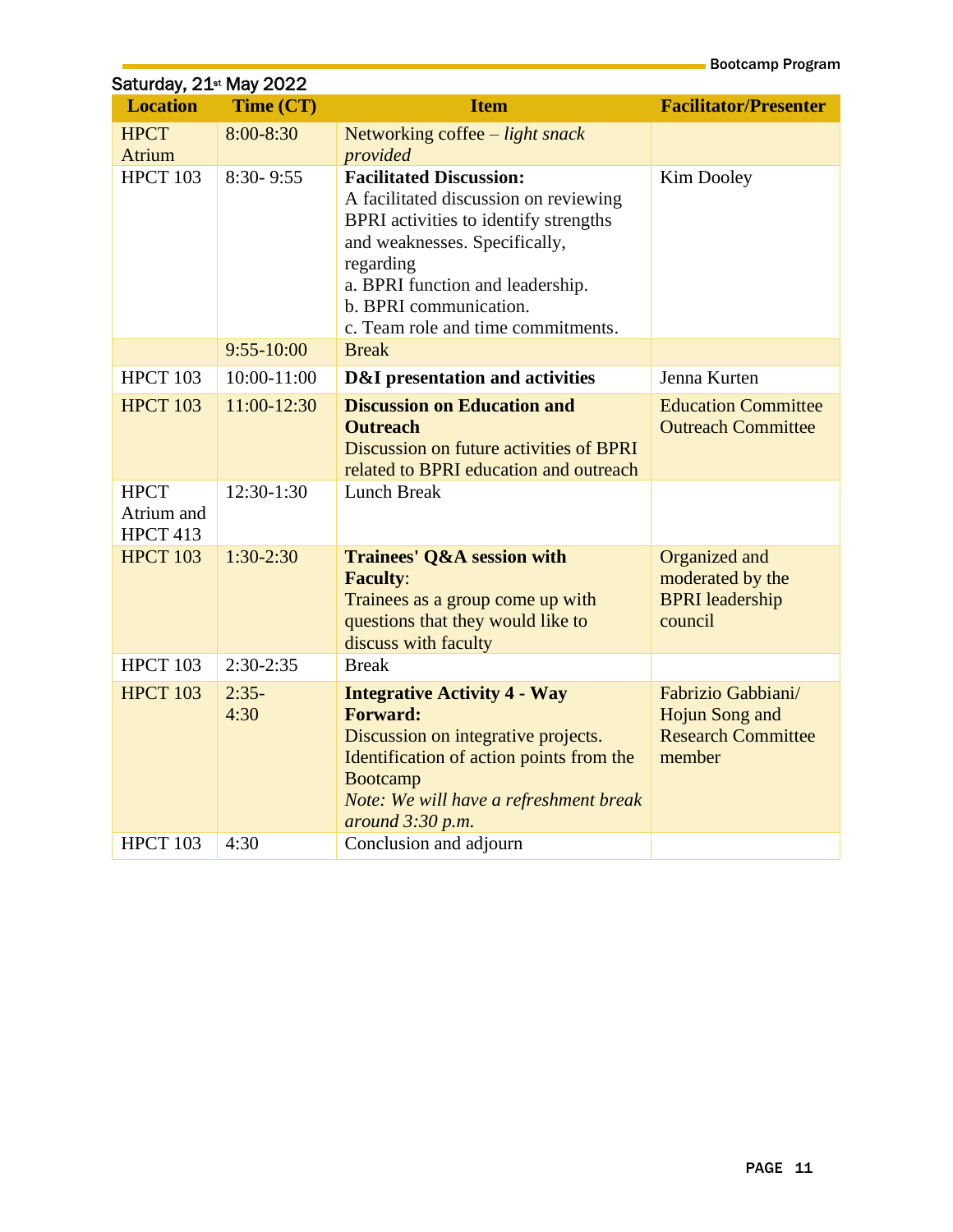| Saturday, 21 <sup>st</sup> May 2022 |                           |                                                                                                                                                                                                                                                                    |                                                                                    |  |  |  |
|-------------------------------------|---------------------------|--------------------------------------------------------------------------------------------------------------------------------------------------------------------------------------------------------------------------------------------------------------------|------------------------------------------------------------------------------------|--|--|--|
| <b>Location</b>                     | Time (CT)                 | <b>Item</b>                                                                                                                                                                                                                                                        | <b>Facilitator/Presenter</b>                                                       |  |  |  |
| <b>HPCT</b><br><b>Atrium</b>        | $8:00 - 8:30$             | Networking coffee - light snack<br>provided                                                                                                                                                                                                                        |                                                                                    |  |  |  |
| <b>HPCT 103</b>                     | $8:30 - 9:55$             | <b>Facilitated Discussion:</b><br>A facilitated discussion on reviewing<br>BPRI activities to identify strengths<br>and weaknesses. Specifically,<br>regarding<br>a. BPRI function and leadership.<br>b. BPRI communication.<br>c. Team role and time commitments. | Kim Dooley                                                                         |  |  |  |
|                                     | $9:55 - 10:00$            | <b>Break</b>                                                                                                                                                                                                                                                       |                                                                                    |  |  |  |
| <b>HPCT 103</b>                     | 10:00-11:00               | <b>D&amp;I</b> presentation and activities                                                                                                                                                                                                                         | Jenna Kurten                                                                       |  |  |  |
| <b>HPCT 103</b><br><b>HPCT</b>      | 11:00-12:30<br>12:30-1:30 | <b>Discussion on Education and</b><br><b>Outreach</b><br>Discussion on future activities of BPRI<br>related to BPRI education and outreach<br><b>Lunch Break</b>                                                                                                   | <b>Education Committee</b><br><b>Outreach Committee</b>                            |  |  |  |
| Atrium and<br><b>HPCT 413</b>       |                           |                                                                                                                                                                                                                                                                    |                                                                                    |  |  |  |
| <b>HPCT 103</b>                     | $1:30-2:30$               | <b>Trainees' Q&amp;A session with</b><br><b>Faculty:</b><br>Trainees as a group come up with<br>questions that they would like to<br>discuss with faculty                                                                                                          | Organized and<br>moderated by the<br><b>BPRI</b> leadership<br>council             |  |  |  |
| <b>HPCT 103</b>                     | $2:30-2:35$               | <b>Break</b>                                                                                                                                                                                                                                                       |                                                                                    |  |  |  |
| <b>HPCT 103</b>                     | $2:35-$<br>4:30           | <b>Integrative Activity 4 - Way</b><br><b>Forward:</b><br>Discussion on integrative projects.<br>Identification of action points from the<br><b>Bootcamp</b><br>Note: We will have a refreshment break<br>around $3:30$ p.m.                                       | Fabrizio Gabbiani/<br><b>Hojun Song and</b><br><b>Research Committee</b><br>member |  |  |  |
| <b>HPCT 103</b>                     | 4:30                      | Conclusion and adjourn                                                                                                                                                                                                                                             |                                                                                    |  |  |  |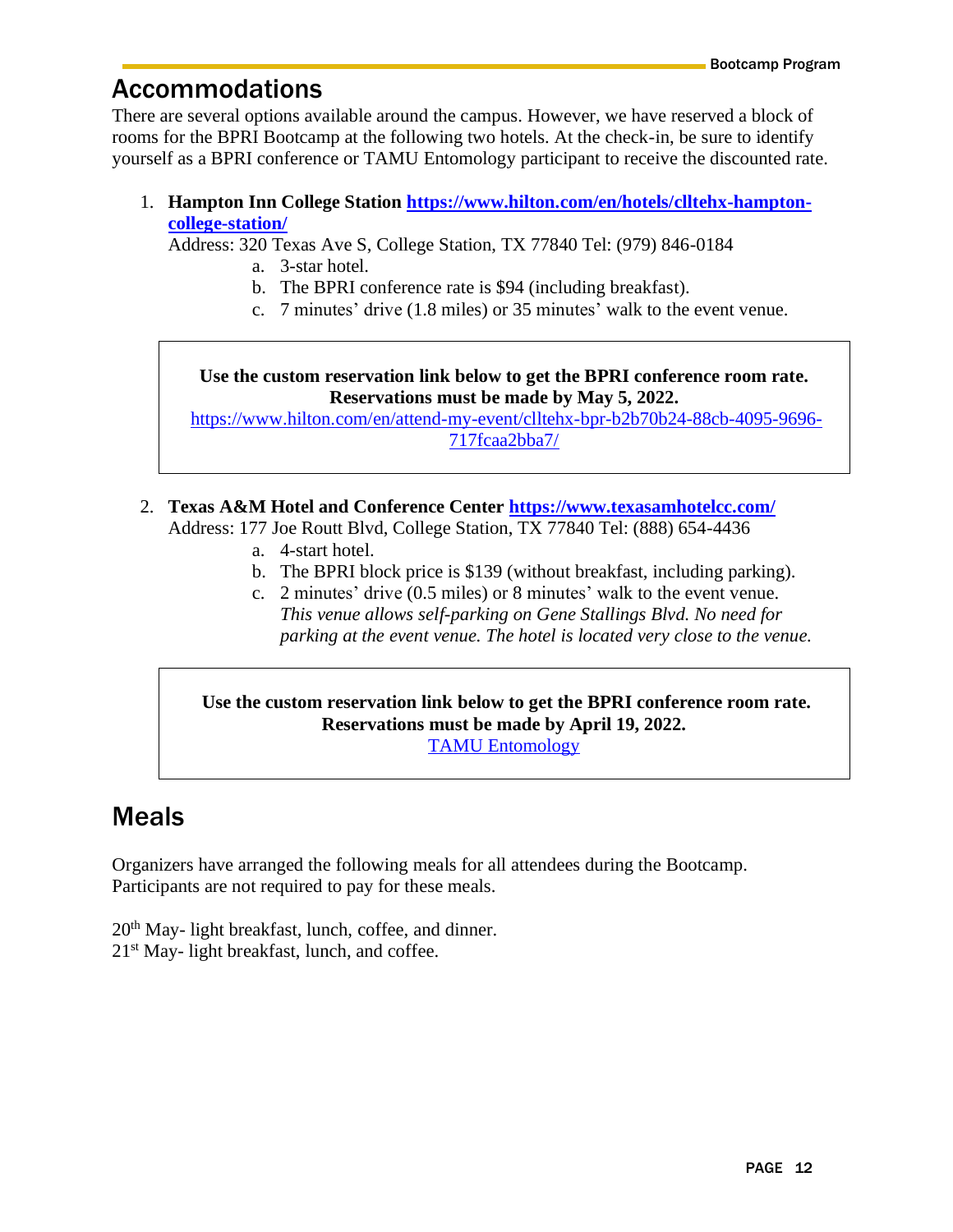## <span id="page-11-0"></span>Accommodations

There are several options available around the campus. However, we have reserved a block of rooms for the BPRI Bootcamp at the following two hotels. At the check-in, be sure to identify yourself as a BPRI conference or TAMU Entomology participant to receive the discounted rate.

1. **Hampton Inn College Station [https://www.hilton.com/en/hotels/clltehx-hampton](https://www.hilton.com/en/hotels/clltehx-hampton-college-station/)[college-station/](https://www.hilton.com/en/hotels/clltehx-hampton-college-station/)**

Address: 320 Texas Ave S, College Station, TX 77840 Tel: (979) 846-0184

- a. 3-star hotel.
- b. The BPRI conference rate is \$94 (including breakfast).
- c. 7 minutes' drive (1.8 miles) or 35 minutes' walk to the event venue.

#### **Use the custom reservation link below to get the BPRI conference room rate. Reservations must be made by May 5, 2022.**

[https://www.hilton.com/en/attend-my-event/clltehx-bpr-b2b70b24-88cb-4095-9696-](https://nam10.safelinks.protection.outlook.com/?url=https%3A%2F%2Furldefense.com%2Fv3%2F__https%3A%2F%2Fwww.hilton.com%2Fen%2Fattend-my-event%2Fclltehx-bpr-b2b70b24-88cb-4095-9696-717fcaa2bba7%2F__%3B!!KwNVnqRv!RlyWKfO2Oc-u4XsWJekXPLezPsSQun6xR5qaTVp3GNRpjvkvS31aWzPeTfWL4Q%24&data=04%7C01%7CHojun.Song%40ag.tamu.edu%7C6fcc2e9874f54b877b1008da10e9f2d3%7C9fd7580a64724d9ca142d131d3a7a116%7C0%7C0%7C637840894395764391%7CUnknown%7CTWFpbGZsb3d8eyJWIjoiMC4wLjAwMDAiLCJQIjoiV2luMzIiLCJBTiI6Ik1haWwiLCJXVCI6Mn0%3D%7C0&sdata=PS7PmLQDjTPa7GOBz4f7QqKjidChW21xeeDEF%2B4NVJc%3D&reserved=0) [717fcaa2bba7/](https://nam10.safelinks.protection.outlook.com/?url=https%3A%2F%2Furldefense.com%2Fv3%2F__https%3A%2F%2Fwww.hilton.com%2Fen%2Fattend-my-event%2Fclltehx-bpr-b2b70b24-88cb-4095-9696-717fcaa2bba7%2F__%3B!!KwNVnqRv!RlyWKfO2Oc-u4XsWJekXPLezPsSQun6xR5qaTVp3GNRpjvkvS31aWzPeTfWL4Q%24&data=04%7C01%7CHojun.Song%40ag.tamu.edu%7C6fcc2e9874f54b877b1008da10e9f2d3%7C9fd7580a64724d9ca142d131d3a7a116%7C0%7C0%7C637840894395764391%7CUnknown%7CTWFpbGZsb3d8eyJWIjoiMC4wLjAwMDAiLCJQIjoiV2luMzIiLCJBTiI6Ik1haWwiLCJXVCI6Mn0%3D%7C0&sdata=PS7PmLQDjTPa7GOBz4f7QqKjidChW21xeeDEF%2B4NVJc%3D&reserved=0)

- 2. **Texas A&M Hotel and Conference Center<https://www.texasamhotelcc.com/>** Address: 177 Joe Routt Blvd, College Station, TX 77840 Tel: (888) 654-4436
	- a. 4-start hotel.
	- b. The BPRI block price is \$139 (without breakfast, including parking).
	- c. 2 minutes' drive (0.5 miles) or 8 minutes' walk to the event venue. *This venue allows self-parking on Gene Stallings Blvd. No need for parking at the event venue. The hotel is located very close to the venue.*

#### **Use the custom reservation link below to get the BPRI conference room rate. Reservations must be made by April 19, 2022.** [TAMU Entomology](https://nam10.safelinks.protection.outlook.com/?url=https%3A%2F%2Fbe.synxis.com%2F%3Fadult%3D1%26arrive%3D2022-05-19chain%3D21123%26child%3D0%26rate%3D148932%26clearcache%3Dall%26configcode%3DinitialConfig%26currency%3DUSD%26depart%3D2022-05-22%26hotel%3D35873%26level%3Dhotel%26locale%3Den-US%26nocache%3Dtrue%26notrack%3Dtrue%26rooms%3D1%26sbe_ri%3D0%26themecode%3DinitialTheme&data=04%7C01%7Chojun.song%40ag.tamu.edu%7C5f7b0f665b8a4b7a109508da10fdccfc%7C9fd7580a64724d9ca142d131d3a7a116%7C0%7C0%7C637840986230329932%7CUnknown%7CTWFpbGZsb3d8eyJWIjoiMC4wLjAwMDAiLCJQIjoiV2luMzIiLCJBTiI6Ik1haWwiLCJXVCI6Mn0%3D%7C3000&sdata=XLNIGuh8d3ZPgHPK8I2cCE0q7krjSSYpz1xP39wnjoQ%3D&reserved=0)

## <span id="page-11-1"></span>Meals

Organizers have arranged the following meals for all attendees during the Bootcamp. Participants are not required to pay for these meals.

20th May- light breakfast, lunch, coffee, and dinner. 21st May- light breakfast, lunch, and coffee.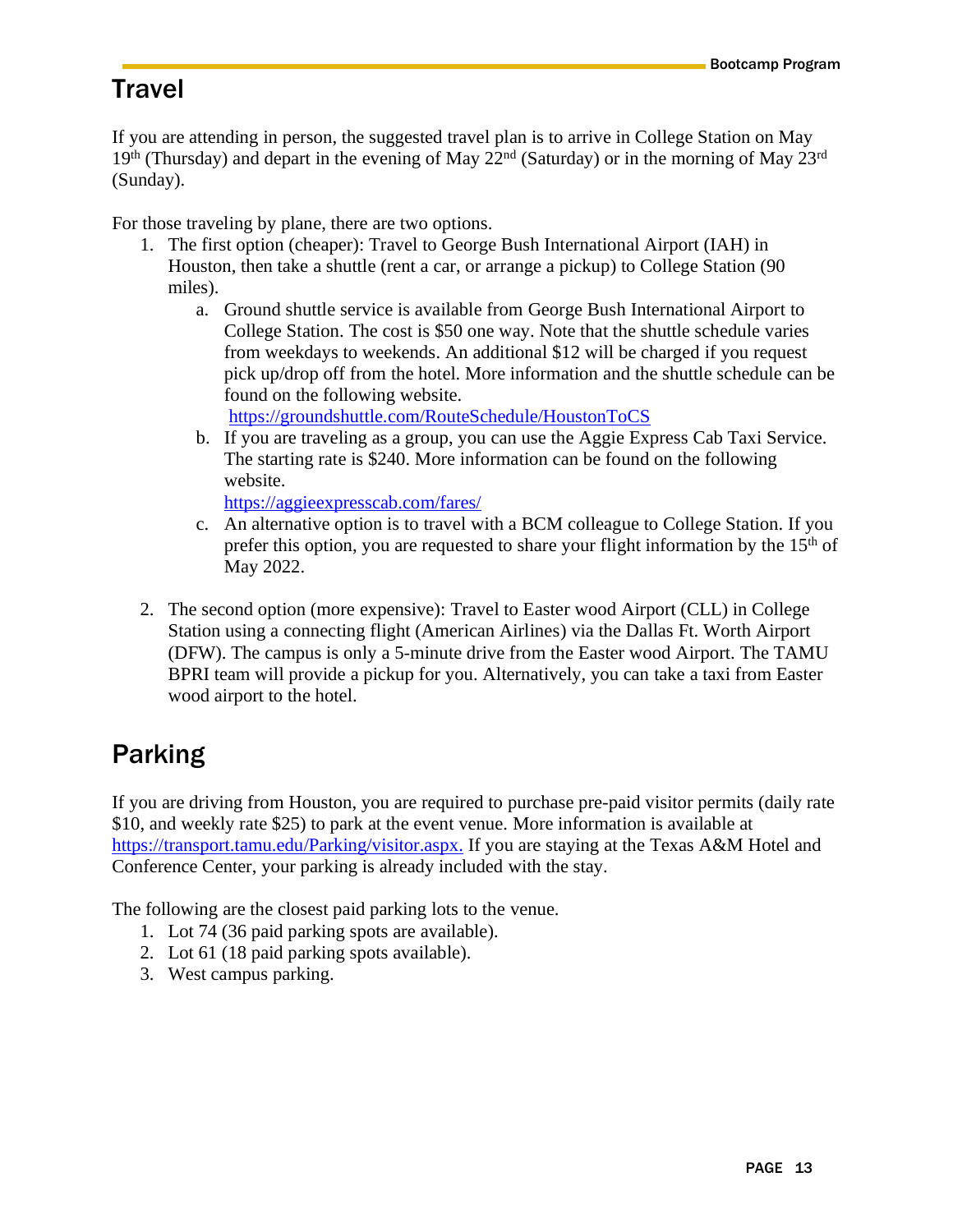## <span id="page-12-0"></span>**Travel**

If you are attending in person, the suggested travel plan is to arrive in College Station on May  $19<sup>th</sup>$  (Thursday) and depart in the evening of May  $22<sup>nd</sup>$  (Saturday) or in the morning of May  $23<sup>rd</sup>$ (Sunday).

For those traveling by plane, there are two options.

- 1. The first option (cheaper): Travel to George Bush International Airport (IAH) in Houston, then take a shuttle (rent a car, or arrange a pickup) to College Station (90 miles).
	- a. Ground shuttle service is available from George Bush International Airport to College Station. The cost is \$50 one way. Note that the shuttle schedule varies from weekdays to weekends. An additional \$12 will be charged if you request pick up/drop off from the hotel. More information and the shuttle schedule can be found on the following website.

<https://groundshuttle.com/RouteSchedule/HoustonToCS>

b. If you are traveling as a group, you can use the Aggie Express Cab Taxi Service. The starting rate is \$240. More information can be found on the following website.

<https://aggieexpresscab.com/fares/>

- c. An alternative option is to travel with a BCM colleague to College Station. If you prefer this option, you are requested to share your flight information by the  $15<sup>th</sup>$  of May 2022.
- 2. The second option (more expensive): Travel to Easter wood Airport (CLL) in College Station using a connecting flight (American Airlines) via the Dallas Ft. Worth Airport (DFW). The campus is only a 5-minute drive from the Easter wood Airport. The TAMU BPRI team will provide a pickup for you. Alternatively, you can take a taxi from Easter wood airport to the hotel.

## <span id="page-12-1"></span>Parking

If you are driving from Houston, you are required to purchase pre-paid visitor permits (daily rate \$10, and weekly rate \$25) to park at the event venue. More information is available at [https://transport.tamu.edu/Parking/visitor.aspx.](https://transport.tamu.edu/Parking/visitor.aspx) If you are staying at the Texas A&M Hotel and Conference Center, your parking is already included with the stay.

The following are the closest paid parking lots to the venue.

- 1. Lot 74 (36 paid parking spots are available).
- 2. Lot 61 (18 paid parking spots available).
- 3. West campus parking.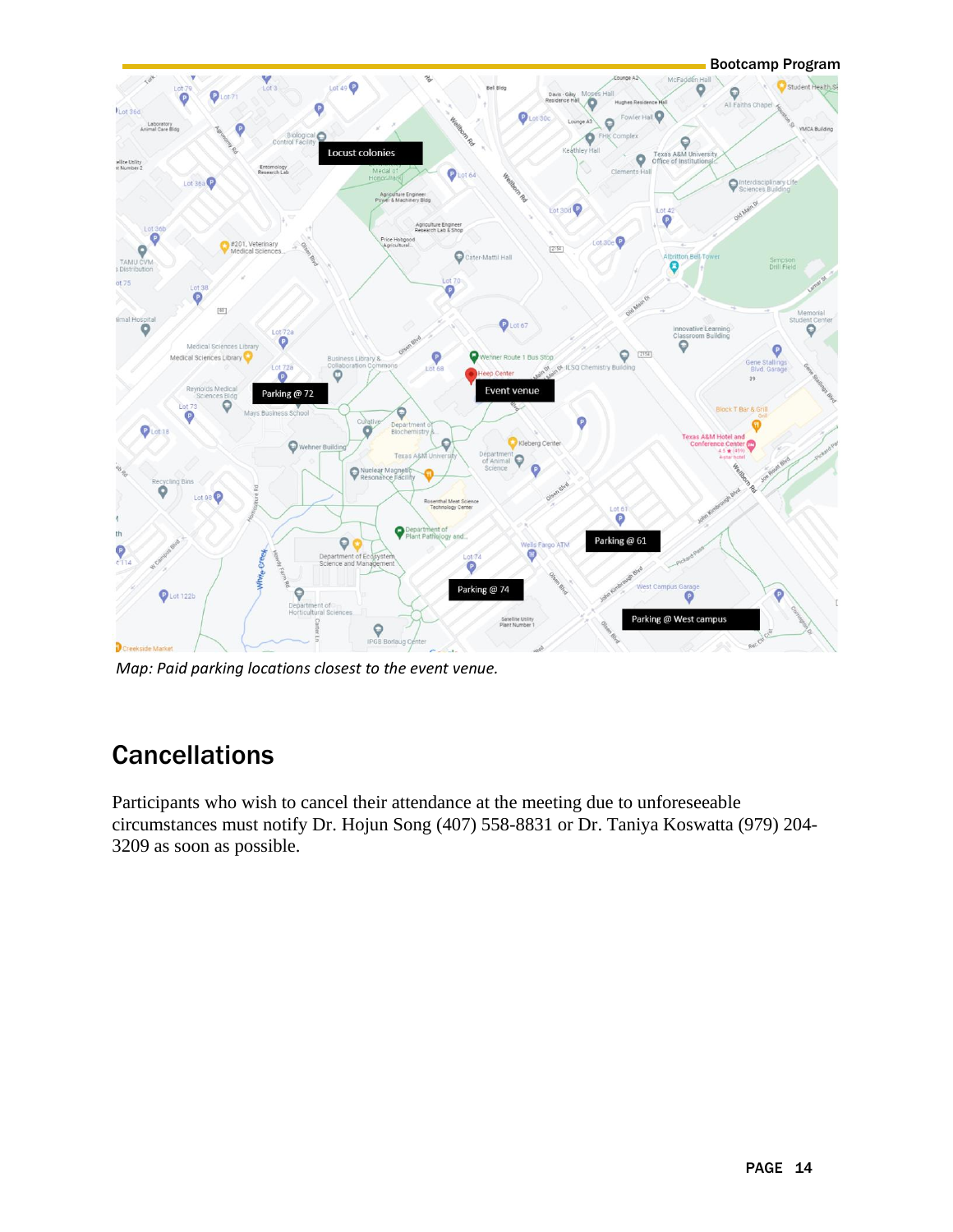

*Map: Paid parking locations closest to the event venue.*

## <span id="page-13-0"></span>**Cancellations**

Participants who wish to cancel their attendance at the meeting due to unforeseeable circumstances must notify Dr. Hojun Song (407) 558-8831 or Dr. Taniya Koswatta (979) 204- 3209 as soon as possible.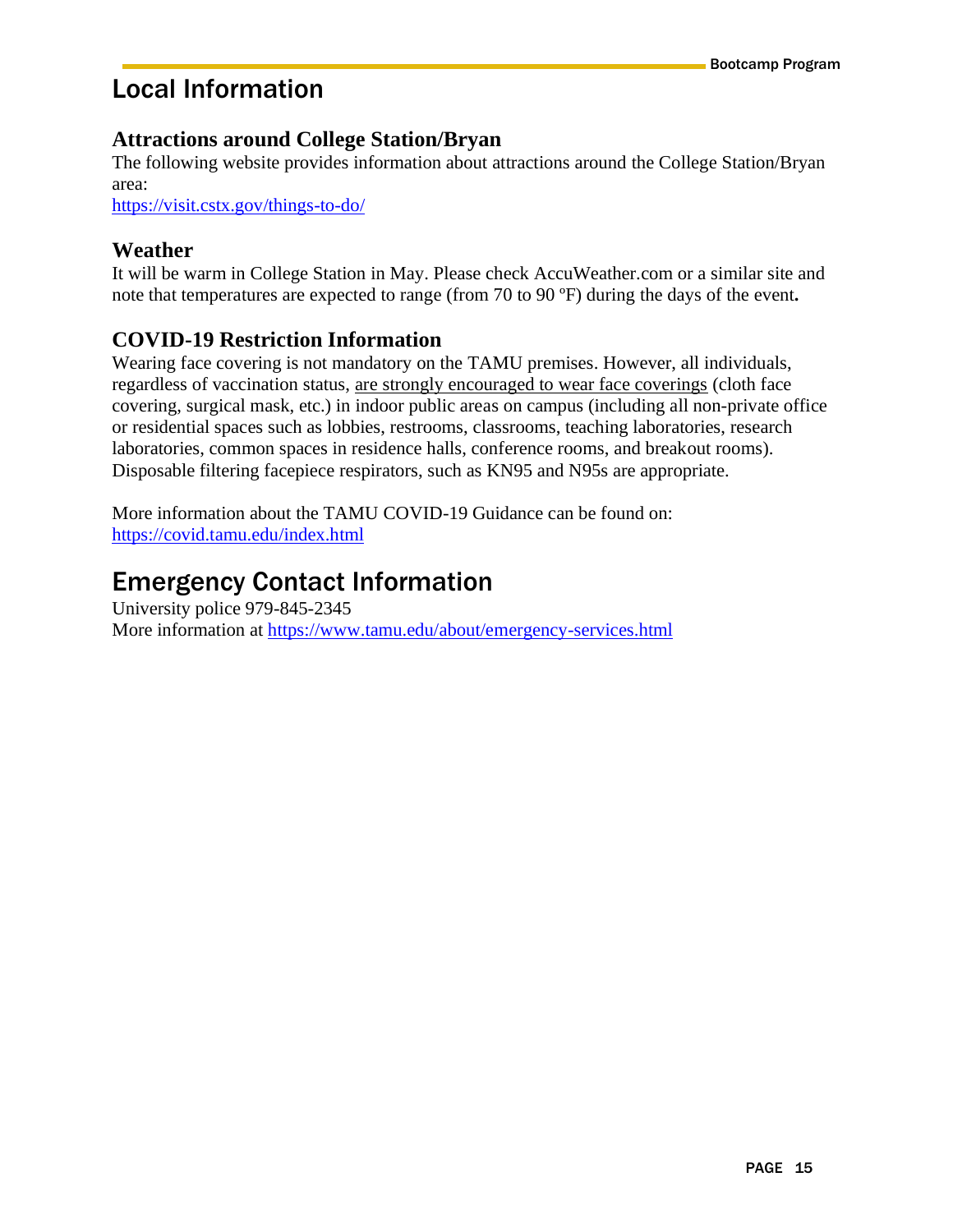## <span id="page-14-0"></span>Local Information

#### **Attractions around College Station/Bryan**

The following website provides information about attractions around the College Station/Bryan area:

<https://visit.cstx.gov/things-to-do/>

#### **Weather**

It will be warm in College Station in May. Please check AccuWeather.com or a similar site and note that temperatures are expected to range (from 70 to 90 ºF) during the days of the event**.**

#### **COVID-19 Restriction Information**

Wearing face covering is not mandatory on the TAMU premises. However, all individuals, regardless of vaccination status, are strongly encouraged to wear face coverings (cloth face covering, surgical mask, etc.) in indoor public areas on campus (including all non-private office or residential spaces such as lobbies, restrooms, classrooms, teaching laboratories, research laboratories, common spaces in residence halls, conference rooms, and breakout rooms). Disposable filtering facepiece respirators, such as KN95 and N95s are appropriate.

More information about the TAMU COVID-19 Guidance can be found on: <https://covid.tamu.edu/index.html>

## <span id="page-14-1"></span>Emergency Contact Information

University police 979-845-2345 More information at <https://www.tamu.edu/about/emergency-services.html>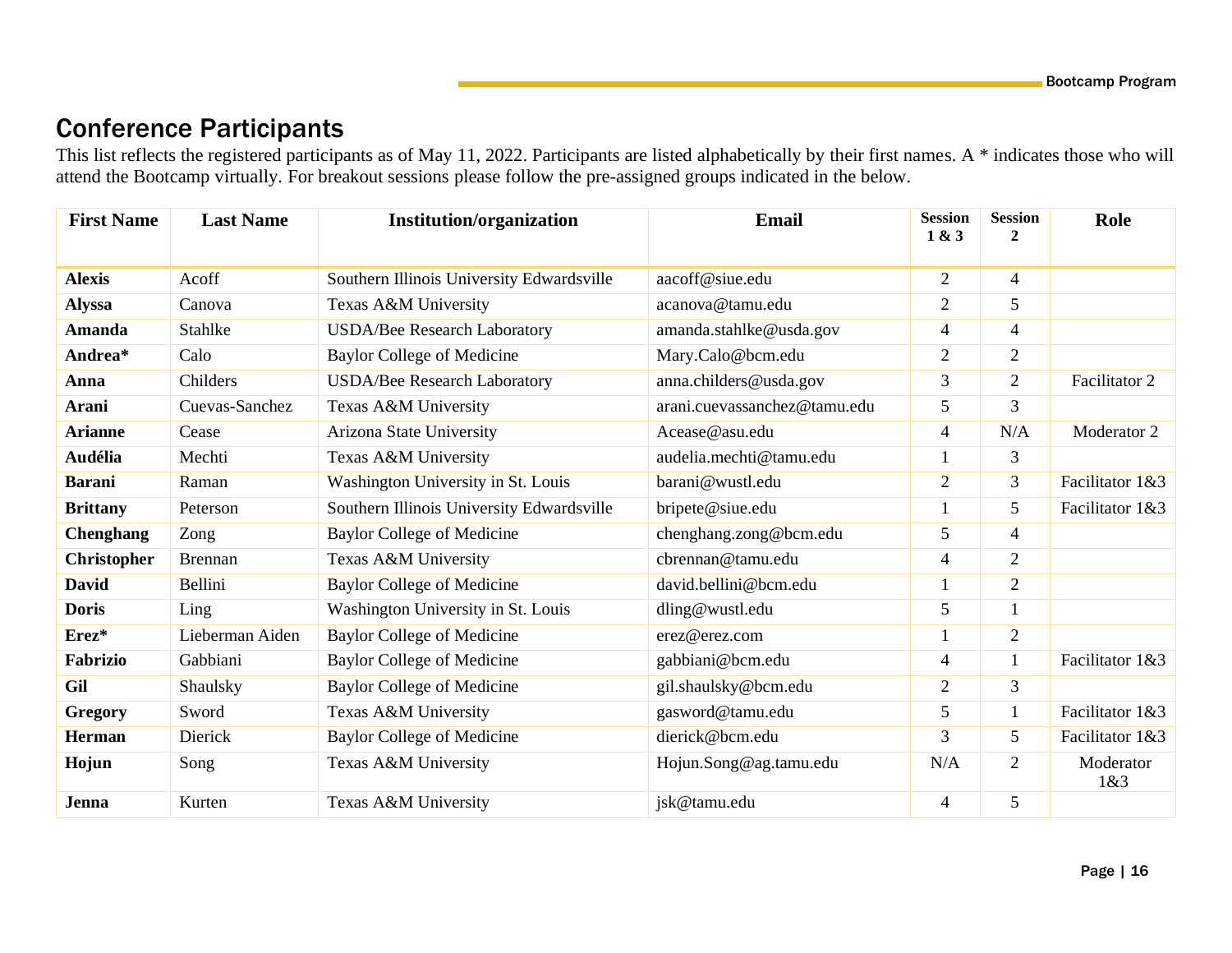## Conference Participants

This list reflects the registered participants as of May 11, 2022. Participants are listed alphabetically by their first names. A \* indicates those who will attend the Bootcamp virtually. For breakout sessions please follow the pre-assigned groups indicated in the below.

<span id="page-15-0"></span>

| <b>First Name</b>  | <b>Last Name</b> | <b>Institution/organization</b>           | <b>Email</b>                 | <b>Session</b><br>1 & 3 | <b>Session</b><br>$\mathbf{2}$ | Role             |
|--------------------|------------------|-------------------------------------------|------------------------------|-------------------------|--------------------------------|------------------|
| <b>Alexis</b>      | Acoff            | Southern Illinois University Edwardsville | aacoff@siue.edu              | $\overline{2}$          | $\overline{4}$                 |                  |
| <b>Alyssa</b>      | Canova           | Texas A&M University                      | acanova@tamu.edu             | $\overline{2}$          | 5                              |                  |
| <b>Amanda</b>      | Stahlke          | <b>USDA/Bee Research Laboratory</b>       | amanda.stahlke@usda.gov      | $\overline{4}$          | $\overline{4}$                 |                  |
| Andrea*            | Calo             | <b>Baylor College of Medicine</b>         | Mary.Calo@bcm.edu            | $\overline{2}$          | $\overline{2}$                 |                  |
| Anna               | Childers         | <b>USDA/Bee Research Laboratory</b>       | anna.childers@usda.gov       | 3                       | $\overline{2}$                 | Facilitator 2    |
| Arani              | Cuevas-Sanchez   | Texas A&M University                      | arani.cuevassanchez@tamu.edu | 5                       | 3                              |                  |
| <b>Arianne</b>     | Cease            | Arizona State University                  | Acease@asu.edu               | $\overline{4}$          | N/A                            | Moderator 2      |
| <b>Audélia</b>     | Mechti           | Texas A&M University                      | audelia.mechti@tamu.edu      | 1                       | 3                              |                  |
| <b>Barani</b>      | Raman            | Washington University in St. Louis        | barani@wustl.edu             | $\overline{2}$          | 3                              | Facilitator 1&3  |
| <b>Brittany</b>    | Peterson         | Southern Illinois University Edwardsville | bripete@siue.edu             |                         | 5                              | Facilitator 1&3  |
| <b>Chenghang</b>   | Zong             | <b>Baylor College of Medicine</b>         | chenghang.zong@bcm.edu       | 5                       | $\overline{4}$                 |                  |
| <b>Christopher</b> | <b>Brennan</b>   | Texas A&M University                      | cbrennan@tamu.edu            | $\overline{4}$          | $\overline{2}$                 |                  |
| <b>David</b>       | Bellini          | <b>Baylor College of Medicine</b>         | david.bellini@bcm.edu        |                         | $\overline{2}$                 |                  |
| <b>Doris</b>       | Ling             | Washington University in St. Louis        | dling@wustl.edu              | 5                       | $\mathbf{1}$                   |                  |
| Erez*              | Lieberman Aiden  | <b>Baylor College of Medicine</b>         | erez@erez.com                |                         | $\overline{2}$                 |                  |
| Fabrizio           | Gabbiani         | <b>Baylor College of Medicine</b>         | gabbiani@bcm.edu             | $\overline{4}$          |                                | Facilitator 1&3  |
| Gil                | Shaulsky         | <b>Baylor College of Medicine</b>         | gil.shaulsky@bcm.edu         | $\overline{2}$          | 3                              |                  |
| <b>Gregory</b>     | Sword            | Texas A&M University                      | gasword@tamu.edu             | 5                       | $\mathbf{1}$                   | Facilitator 1&3  |
| <b>Herman</b>      | Dierick          | <b>Baylor College of Medicine</b>         | dierick@bcm.edu              | 3                       | 5                              | Facilitator 1&3  |
| Hojun              | Song             | Texas A&M University                      | Hojun.Song@ag.tamu.edu       | N/A                     | $\overline{2}$                 | Moderator<br>1&3 |
| Jenna              | Kurten           | Texas A&M University                      | jsk@tamu.edu                 | 4                       | 5                              |                  |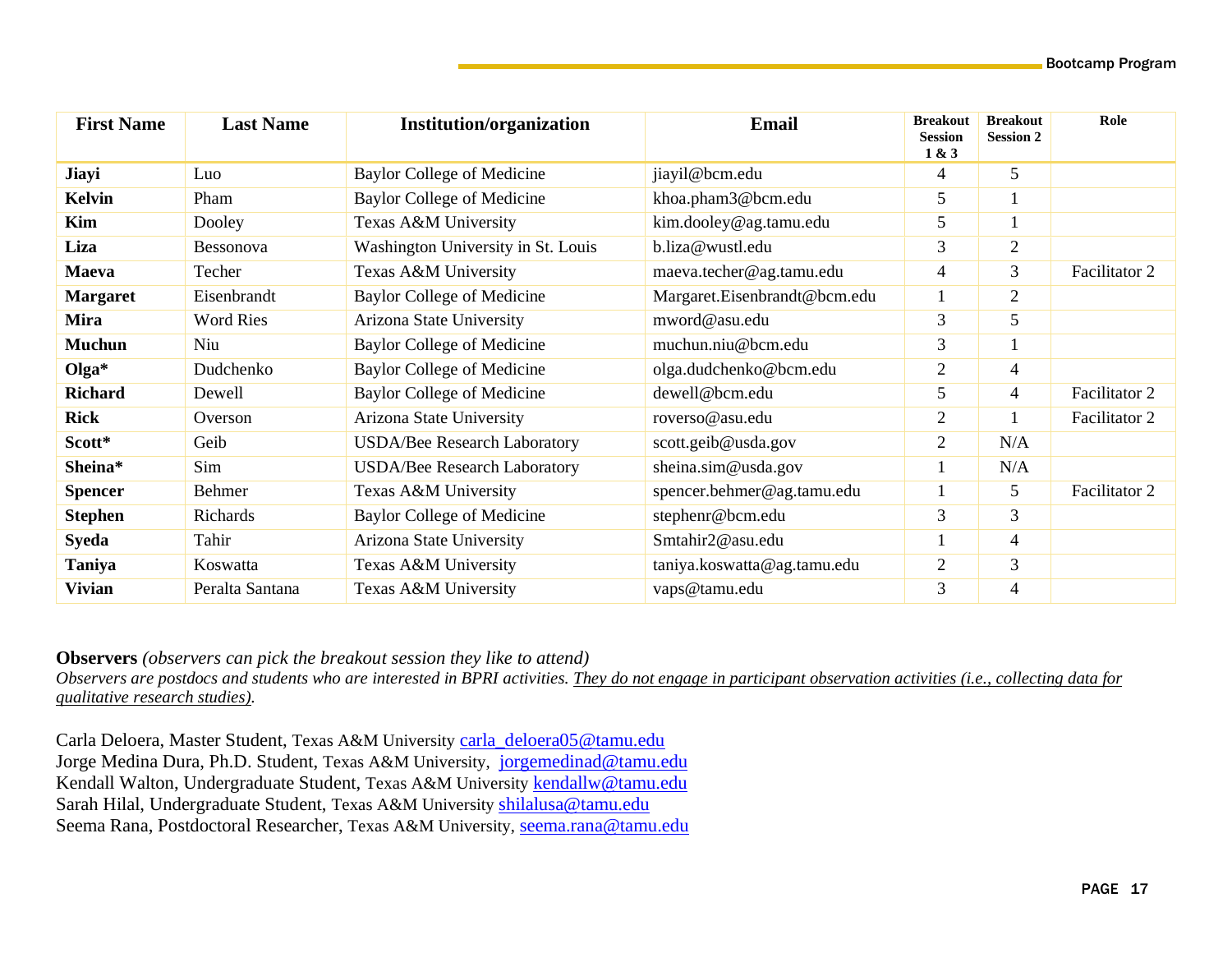| <b>First Name</b> | <b>Last Name</b> | <b>Institution/organization</b>     | <b>Email</b>                 | <b>Breakout</b><br><b>Session</b><br>1 & 3 | <b>Breakout</b><br><b>Session 2</b> | Role          |
|-------------------|------------------|-------------------------------------|------------------------------|--------------------------------------------|-------------------------------------|---------------|
| Jiayi             | Luo              | Baylor College of Medicine          | jiayil@bcm.edu               | 4                                          | 5                                   |               |
| <b>Kelvin</b>     | Pham             | <b>Baylor College of Medicine</b>   | khoa.pham3@bcm.edu           | 5                                          |                                     |               |
| Kim               | Dooley           | Texas A&M University                | kim.dooley@ag.tamu.edu       | 5                                          |                                     |               |
| Liza              | Bessonova        | Washington University in St. Louis  | b.liza@wustl.edu             | 3                                          | $\overline{2}$                      |               |
| Maeva             | Techer           | Texas A&M University                | maeva.techer@ag.tamu.edu     | 4                                          | $\overline{3}$                      | Facilitator 2 |
| <b>Margaret</b>   | Eisenbrandt      | <b>Baylor College of Medicine</b>   | Margaret.Eisenbrandt@bcm.edu |                                            | $\overline{2}$                      |               |
| <b>Mira</b>       | <b>Word Ries</b> | Arizona State University            | mword@asu.edu                | 3                                          | 5                                   |               |
| <b>Muchun</b>     | Niu              | Baylor College of Medicine          | muchun.niu@bcm.edu           | 3                                          |                                     |               |
| $Olga*$           | Dudchenko        | <b>Baylor College of Medicine</b>   | olga.dudchenko@bcm.edu       | 2                                          | $\overline{4}$                      |               |
| <b>Richard</b>    | Dewell           | Baylor College of Medicine          | dewell@bcm.edu               | 5                                          | 4                                   | Facilitator 2 |
| <b>Rick</b>       | Overson          | Arizona State University            | roverso@asu.edu              | $\overline{2}$                             |                                     | Facilitator 2 |
| Scott*            | Geib             | <b>USDA/Bee Research Laboratory</b> | scott.geib@usda.gov          | 2                                          | N/A                                 |               |
| Sheina*           | Sim              | <b>USDA/Bee Research Laboratory</b> | sheina.sim@usda.gov          |                                            | N/A                                 |               |
| <b>Spencer</b>    | Behmer           | Texas A&M University                | spencer.behmer@ag.tamu.edu   |                                            | 5                                   | Facilitator 2 |
| <b>Stephen</b>    | Richards         | <b>Baylor College of Medicine</b>   | stephenr@bcm.edu             | 3                                          | 3                                   |               |
| <b>Syeda</b>      | Tahir            | Arizona State University            | Smtahir2@asu.edu             |                                            | $\overline{4}$                      |               |
| Taniya            | Koswatta         | Texas A&M University                | taniya.koswatta@ag.tamu.edu  | $\overline{2}$                             | $\overline{3}$                      |               |
| <b>Vivian</b>     | Peralta Santana  | Texas A&M University                | vaps@tamu.edu                | 3                                          | $\overline{\mathcal{L}}$            |               |

**Observers** *(observers can pick the breakout session they like to attend)*

*Observers are postdocs and students who are interested in BPRI activities. They do not engage in participant observation activities (i.e., collecting data for qualitative research studies).*

Carla Deloera, Master Student, Texas A&M University [carla\\_deloera05@tamu.edu](mailto:carla_deloera05@tamu.edu) Jorge Medina Dura, Ph.D. Student, Texas A&M University, [jorgemedinad@tamu.edu](mailto:jorgemedinad@tamu.edu) Kendall Walton, Undergraduate Student, Texas A&M University [kendallw@tamu.edu](mailto:kendallw@tamu.edu) Sarah Hilal, Undergraduate Student, Texas A&M University [shilalusa@tamu.edu](mailto:shilalusa@tamu.edu) Seema Rana, Postdoctoral Researcher, Texas A&M University, [seema.rana@tamu.edu](mailto:seema.rana@tamu.edu)